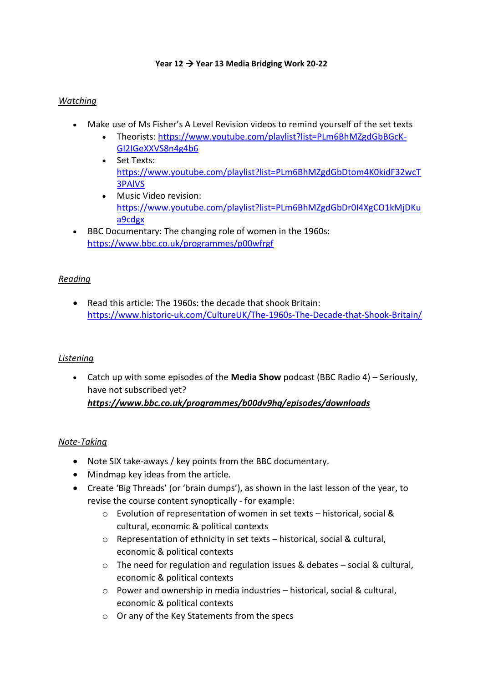### **Year 12** → **Year 13 Media Bridging Work 20-22**

# *Watching*

- Make use of Ms Fisher's A Level Revision videos to remind yourself of the set texts
	- Theorists[: https://www.youtube.com/playlist?list=PLm6BhMZgdGbBGcK-](https://www.youtube.com/playlist?list=PLm6BhMZgdGbBGcK-GI2IGeXXVS8n4g4b6)[GI2IGeXXVS8n4g4b6](https://www.youtube.com/playlist?list=PLm6BhMZgdGbBGcK-GI2IGeXXVS8n4g4b6)
	- Set Texts: [https://www.youtube.com/playlist?list=PLm6BhMZgdGbDtom4K0kidF32wcT](https://www.youtube.com/playlist?list=PLm6BhMZgdGbDtom4K0kidF32wcT3PAlVS) [3PAlVS](https://www.youtube.com/playlist?list=PLm6BhMZgdGbDtom4K0kidF32wcT3PAlVS)
	- Music Video revision: [https://www.youtube.com/playlist?list=PLm6BhMZgdGbDr0I4XgCO1kMjDKu](https://www.youtube.com/playlist?list=PLm6BhMZgdGbDr0I4XgCO1kMjDKua9cdgx) [a9cdgx](https://www.youtube.com/playlist?list=PLm6BhMZgdGbDr0I4XgCO1kMjDKua9cdgx)
- BBC Documentary: The changing role of women in the 1960s: <https://www.bbc.co.uk/programmes/p00wfrgf>

# *Reading*

• Read this article: The 1960s: the decade that shook Britain: <https://www.historic-uk.com/CultureUK/The-1960s-The-Decade-that-Shook-Britain/>

# *Listening*

• Catch up with some episodes of the **Media Show** podcast (BBC Radio 4) – Seriously, have not subscribed yet?

# *https://www.bbc.co.uk/programmes/b00dv9hq/episodes/downloads*

# *Note-Taking*

- Note SIX take-aways / key points from the BBC documentary.
- Mindmap key ideas from the article.
- Create 'Big Threads' (or 'brain dumps'), as shown in the last lesson of the year, to revise the course content synoptically - for example:
	- $\circ$  Evolution of representation of women in set texts historical, social & cultural, economic & political contexts
	- o Representation of ethnicity in set texts historical, social & cultural, economic & political contexts
	- o The need for regulation and regulation issues & debates social & cultural, economic & political contexts
	- o Power and ownership in media industries historical, social & cultural, economic & political contexts
	- o Or any of the Key Statements from the specs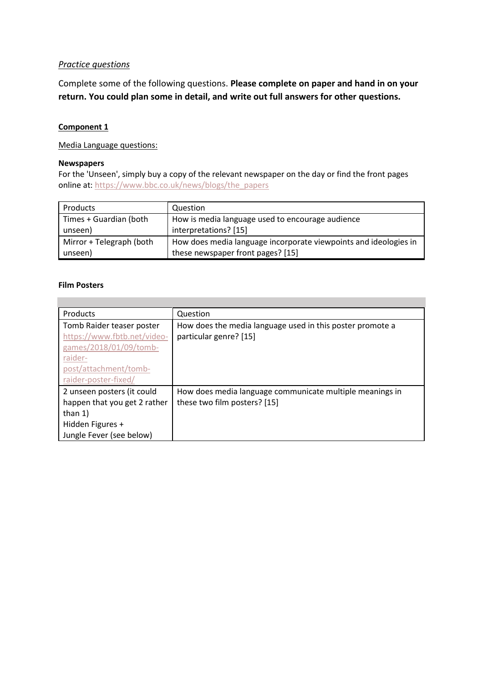### *Practice questions*

Complete some of the following questions. **Please complete on paper and hand in on your return. You could plan some in detail, and write out full answers for other questions.**

### **Component 1**

Media Language questions:

#### **Newspapers**

For the 'Unseen', simply buy a copy of the relevant newspaper on the day or find the front pages online at: [https://www.bbc.co.uk/news/blogs/the\\_papers](https://www.bbc.co.uk/news/blogs/the_papers)

| Products                 | Question                                                         |
|--------------------------|------------------------------------------------------------------|
| Times + Guardian (both   | How is media language used to encourage audience                 |
| unseen)                  | interpretations? [15]                                            |
| Mirror + Telegraph (both | How does media language incorporate viewpoints and ideologies in |
| unseen)                  | these newspaper front pages? [15]                                |

#### **Film Posters**

÷

| Products                     | Question                                                  |
|------------------------------|-----------------------------------------------------------|
| Tomb Raider teaser poster    | How does the media language used in this poster promote a |
| https://www.fbtb.net/video-  | particular genre? [15]                                    |
| games/2018/01/09/tomb-       |                                                           |
| raider-                      |                                                           |
| post/attachment/tomb-        |                                                           |
| raider-poster-fixed/         |                                                           |
| 2 unseen posters (it could   | How does media language communicate multiple meanings in  |
| happen that you get 2 rather | these two film posters? [15]                              |
| than $1)$                    |                                                           |
| Hidden Figures +             |                                                           |
| Jungle Fever (see below)     |                                                           |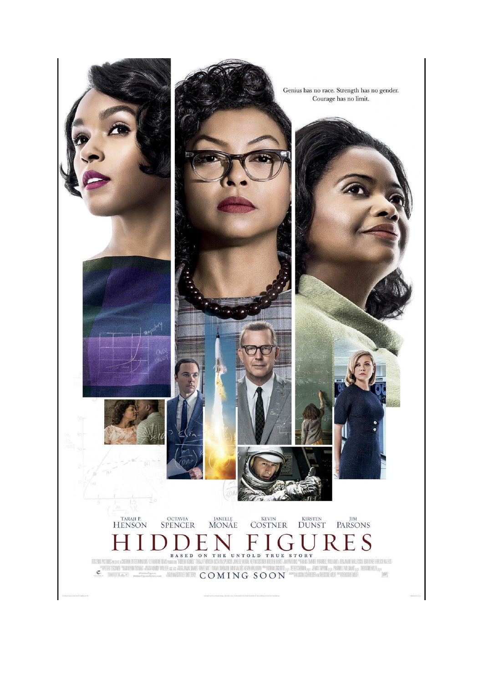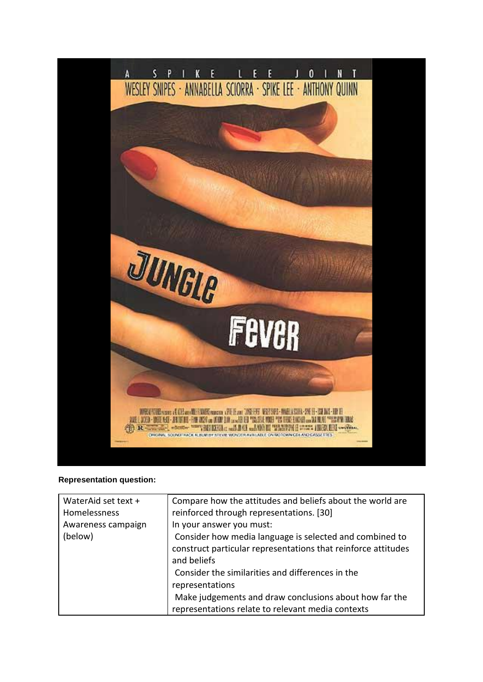

#### **Representation question:**

| WaterAid set text + | Compare how the attitudes and beliefs about the world are     |
|---------------------|---------------------------------------------------------------|
| Homelessness        | reinforced through representations. [30]                      |
| Awareness campaign  | In your answer you must:                                      |
| (below)             | Consider how media language is selected and combined to       |
|                     | construct particular representations that reinforce attitudes |
|                     | and beliefs                                                   |
|                     | Consider the similarities and differences in the              |
|                     | representations                                               |
|                     | Make judgements and draw conclusions about how far the        |
|                     | representations relate to relevant media contexts             |